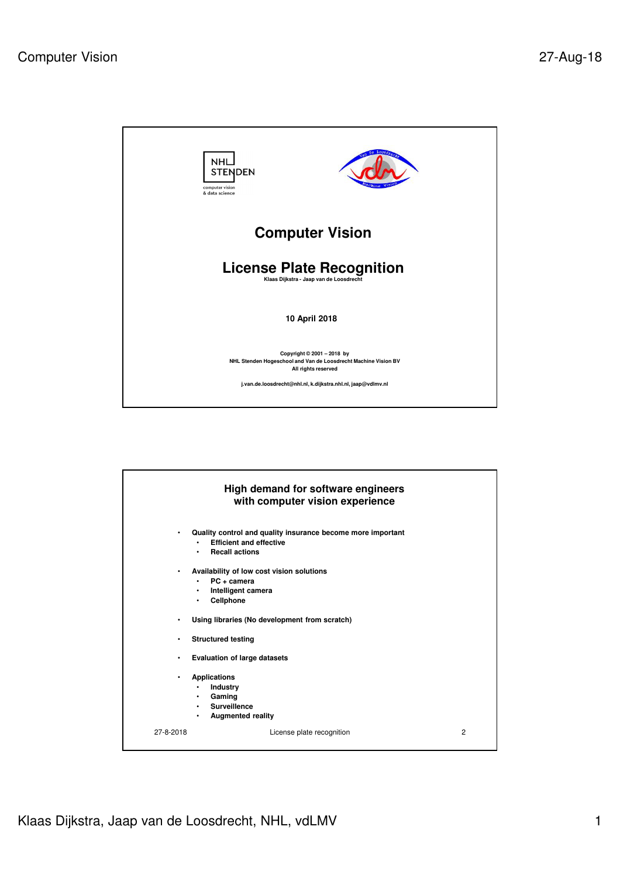

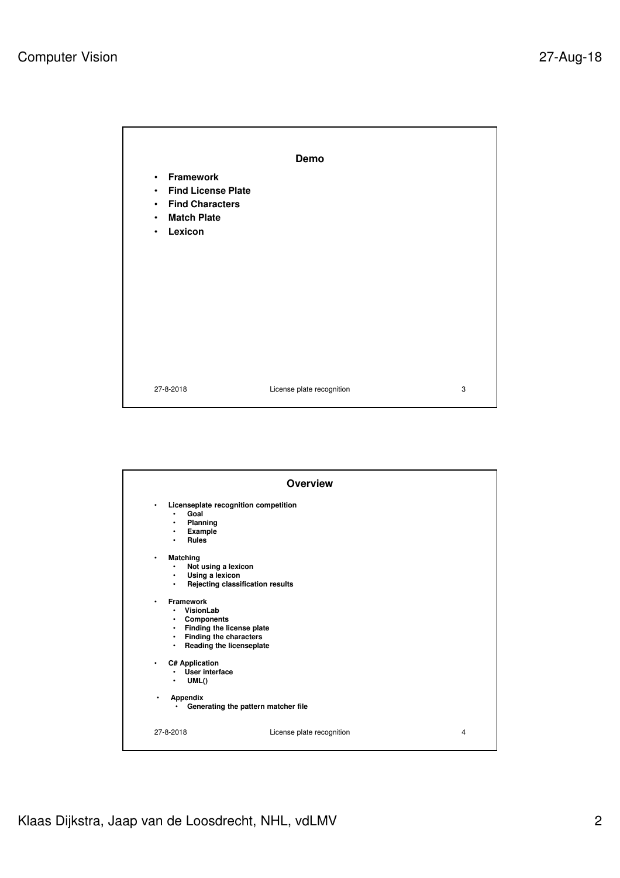

|                                                                                                                                                                                                             | <b>Overview</b>                     |   |
|-------------------------------------------------------------------------------------------------------------------------------------------------------------------------------------------------------------|-------------------------------------|---|
| Licenseplate recognition competition<br>$\bullet$<br>Goal<br>$\bullet$<br>Planning<br>٠<br>Example<br>٠<br><b>Rules</b><br>$\bullet$                                                                        |                                     |   |
| <b>Matching</b><br>$\bullet$<br>Not using a lexicon<br>٠<br>Using a lexicon<br>$\bullet$<br>$\bullet$                                                                                                       | Rejecting classification results    |   |
| <b>Framework</b><br>$\bullet$<br>VisionLab<br>$\bullet$<br><b>Components</b><br>٠<br>Finding the license plate<br>$\bullet$<br>Finding the characters<br>$\bullet$<br>Reading the licenseplate<br>$\bullet$ |                                     |   |
| C# Application<br>٠<br><b>User interface</b><br>$\bullet$<br>UML()<br>٠                                                                                                                                     |                                     |   |
| Appendix<br>٠<br>٠                                                                                                                                                                                          | Generating the pattern matcher file |   |
| 27-8-2018                                                                                                                                                                                                   | License plate recognition           | 4 |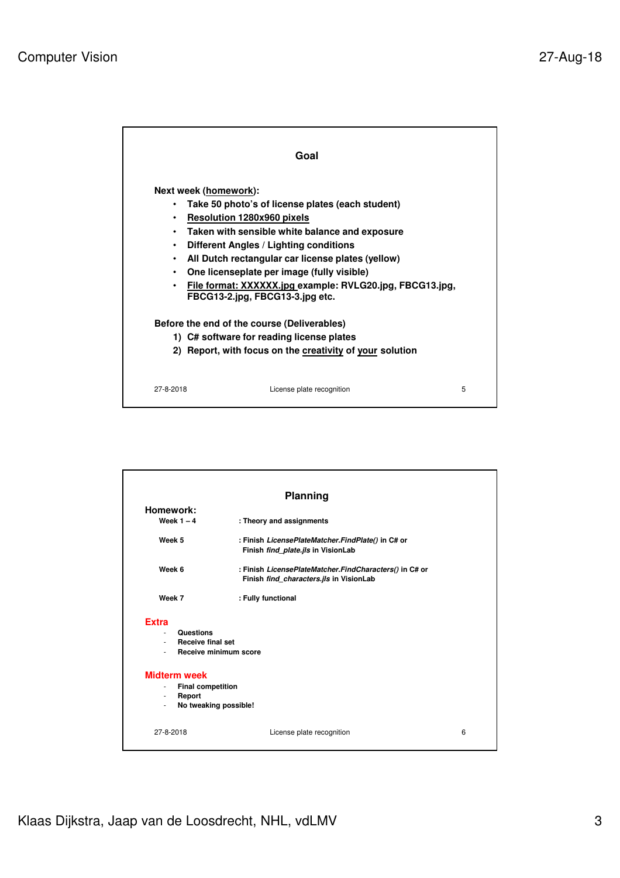|           | Goal                                                                                        |   |
|-----------|---------------------------------------------------------------------------------------------|---|
|           | Next week (homework):                                                                       |   |
|           | Take 50 photo's of license plates (each student)                                            |   |
| $\bullet$ | <b>Resolution 1280x960 pixels</b>                                                           |   |
| $\bullet$ | Taken with sensible white balance and exposure                                              |   |
| ٠         | Different Angles / Lighting conditions                                                      |   |
| $\bullet$ | All Dutch rectangular car license plates (yellow)                                           |   |
| $\bullet$ | One licenseplate per image (fully visible)                                                  |   |
| $\bullet$ | File format: XXXXXX.jpg example: RVLG20.jpg, FBCG13.jpg,<br>FBCG13-2.jpg, FBCG13-3.jpg etc. |   |
|           | Before the end of the course (Deliverables)                                                 |   |
|           | 1) C# software for reading license plates                                                   |   |
|           | 2) Report, with focus on the creativity of your solution                                    |   |
|           |                                                                                             |   |
| 27-8-2018 | License plate recognition                                                                   | 5 |

|                                                                                                         | Planning                                                                                          |   |
|---------------------------------------------------------------------------------------------------------|---------------------------------------------------------------------------------------------------|---|
| Homework:<br>Week $1 - 4$                                                                               | : Theory and assignments                                                                          |   |
| Week 5                                                                                                  | : Finish LicensePlateMatcher.FindPlate() in C# or<br>Finish find_plate.jls in VisionLab           |   |
| Week 6                                                                                                  | : Finish LicensePlateMatcher.FindCharacters() in C# or<br>Finish find_characters.jls in VisionLab |   |
| Week 7                                                                                                  | : Fully functional                                                                                |   |
| <b>Extra</b><br><b>Questions</b><br>$\sim$<br>- Receive final set<br>$\sim$                             | Receive minimum score                                                                             |   |
| <b>Midterm week</b><br><b>Final competition</b><br>$\sim$<br>Report<br>$\blacksquare$<br>$\blacksquare$ | No tweaking possible!                                                                             |   |
| 27-8-2018                                                                                               | License plate recognition                                                                         | 6 |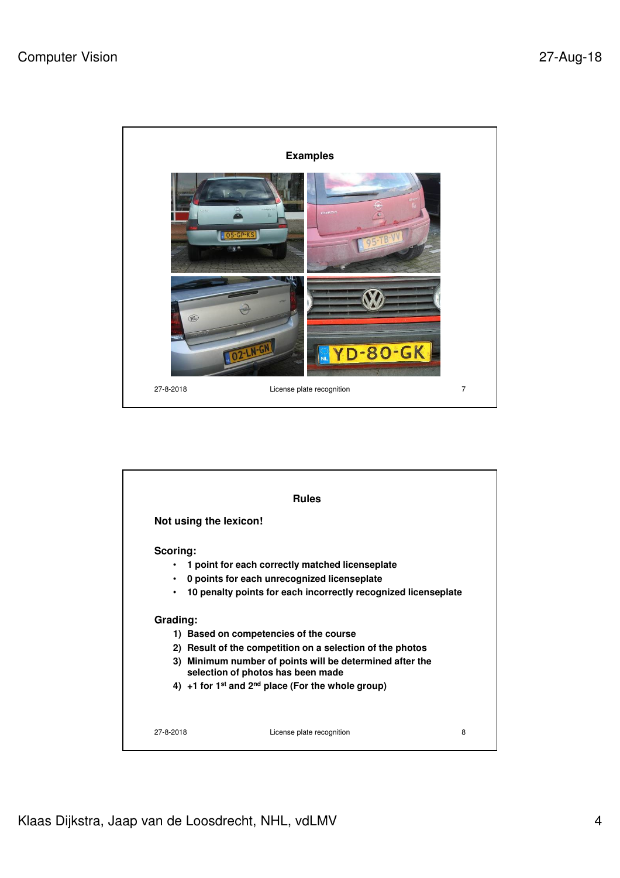

|           | Not using the lexicon!                                                                     |
|-----------|--------------------------------------------------------------------------------------------|
| Scoring:  |                                                                                            |
|           | 1 point for each correctly matched licenseplate                                            |
| $\bullet$ | 0 points for each unrecognized licenseplate                                                |
| $\bullet$ | 10 penalty points for each incorrectly recognized licenseplate                             |
| Grading:  |                                                                                            |
|           | 1) Based on competencies of the course                                                     |
| 2)        | Result of the competition on a selection of the photos                                     |
| 3)        | Minimum number of points will be determined after the<br>selection of photos has been made |
|           | 4) +1 for 1 <sup>st</sup> and 2 <sup>nd</sup> place (For the whole group)                  |
|           |                                                                                            |
|           | 27-8-2018<br>License plate recognition                                                     |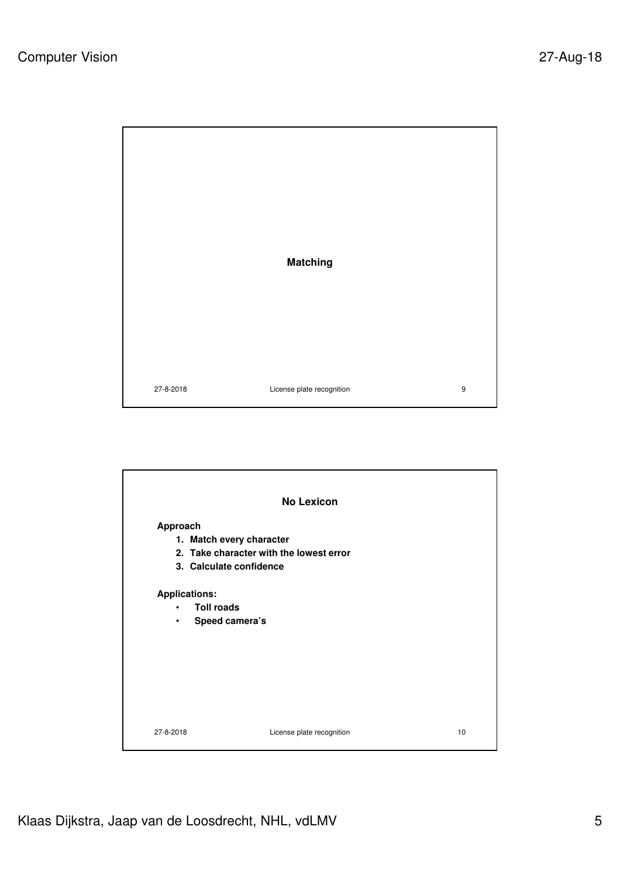

27-8-2018 License plate recognition 9

27-8-2018 License plate recognition 10 **No Lexicon Approach 1. Match every character 2. Take character with the lowest error 3. Calculate confidence Applications:** • **Toll roads** • **Speed camera's**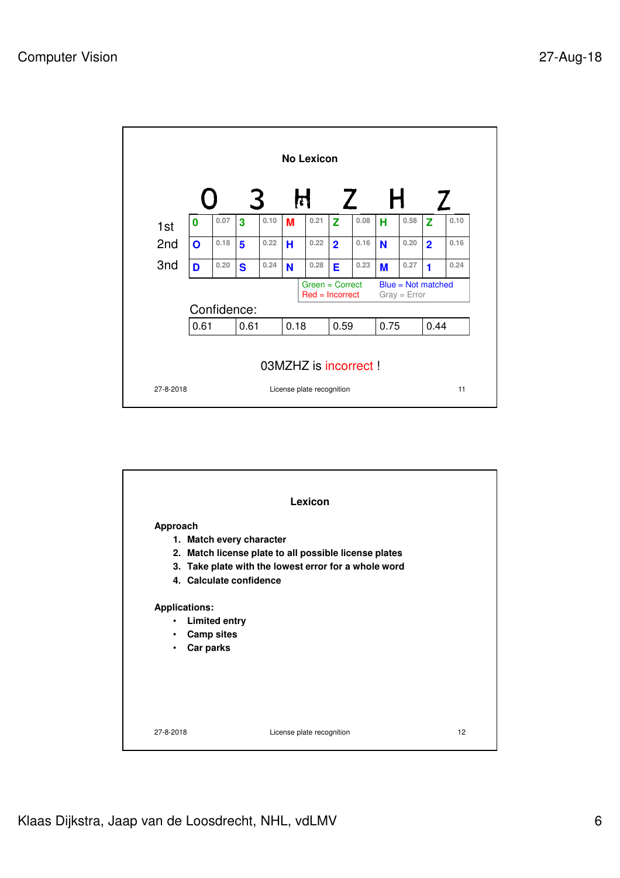

|                          | Lexicon                                               |  |
|--------------------------|-------------------------------------------------------|--|
| Approach                 |                                                       |  |
| 1. Match every character |                                                       |  |
|                          | 2. Match license plate to all possible license plates |  |
|                          | 3. Take plate with the lowest error for a whole word  |  |
| 4. Calculate confidence  |                                                       |  |
| <b>Applications:</b>     |                                                       |  |
| <b>Limited entry</b>     |                                                       |  |
| <b>Camp sites</b><br>٠   |                                                       |  |
| Car parks<br>$\bullet$   |                                                       |  |
|                          |                                                       |  |
|                          |                                                       |  |
|                          |                                                       |  |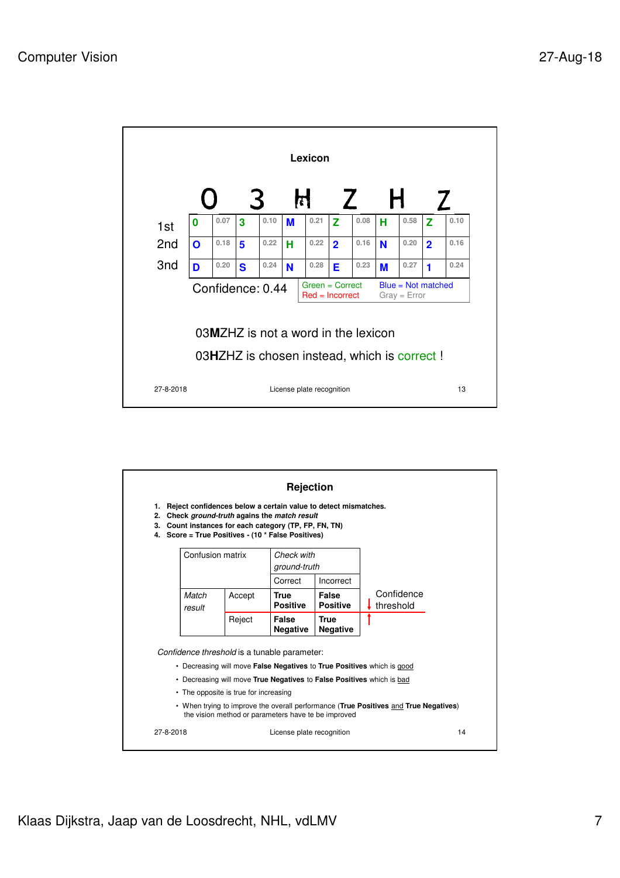

| 1.<br>2.<br>3.<br>4. |                                                                       |        | Rejection<br>Reject confidences below a certain value to detect mismatches.<br>Check ground-truth agains the match result<br>Count instances for each category (TP, FP, FN, TN)<br>Score = True Positives - (10 * False Positives) |                                |                                                                                      |    |
|----------------------|-----------------------------------------------------------------------|--------|------------------------------------------------------------------------------------------------------------------------------------------------------------------------------------------------------------------------------------|--------------------------------|--------------------------------------------------------------------------------------|----|
|                      | Confusion matrix                                                      |        | Check with                                                                                                                                                                                                                         |                                |                                                                                      |    |
|                      |                                                                       |        | ground-truth                                                                                                                                                                                                                       |                                |                                                                                      |    |
|                      |                                                                       |        | Correct                                                                                                                                                                                                                            | Incorrect                      |                                                                                      |    |
|                      | Match<br>result                                                       | Accept | <b>True</b><br><b>Positive</b>                                                                                                                                                                                                     | False<br><b>Positive</b>       | Confidence<br>threshold                                                              |    |
|                      |                                                                       | Reject | False<br><b>Negative</b>                                                                                                                                                                                                           | <b>True</b><br><b>Negative</b> |                                                                                      |    |
|                      |                                                                       |        | Confidence threshold is a tunable parameter:                                                                                                                                                                                       |                                |                                                                                      |    |
|                      |                                                                       |        |                                                                                                                                                                                                                                    |                                | • Decreasing will move <b>False Negatives</b> to <b>True Positives</b> which is good |    |
|                      | • Decreasing will move True Negatives to False Positives which is bad |        |                                                                                                                                                                                                                                    |                                |                                                                                      |    |
|                      | • The opposite is true for increasing                                 |        |                                                                                                                                                                                                                                    |                                |                                                                                      |    |
|                      |                                                                       |        | the vision method or parameters have te be improved                                                                                                                                                                                |                                | • When trying to improve the overall performance (True Positives and True Negatives) |    |
| 27-8-2018            |                                                                       |        | License plate recognition                                                                                                                                                                                                          |                                |                                                                                      | 14 |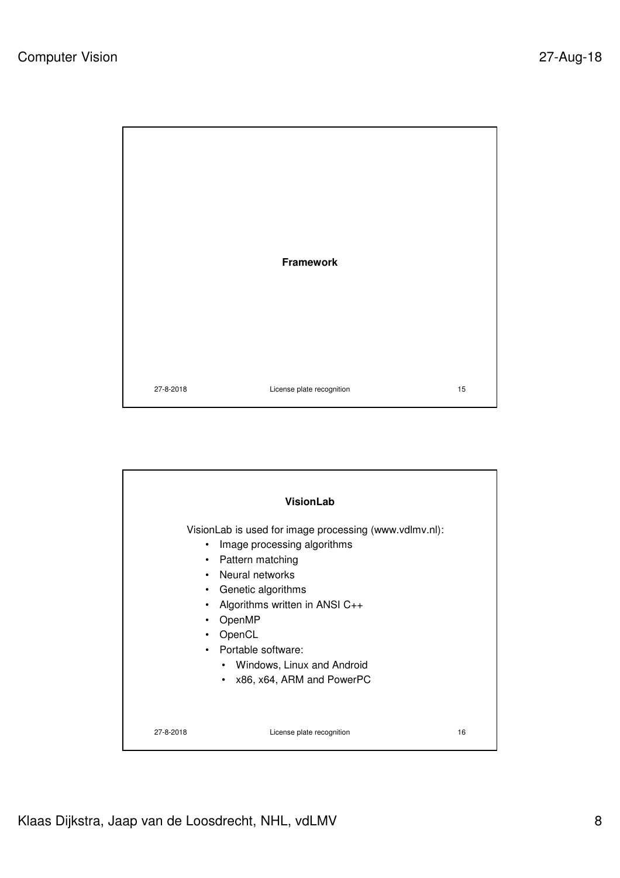

|                                                                                              | <b>VisionLab</b>                                                                                                                                                                                                                                                                              |    |
|----------------------------------------------------------------------------------------------|-----------------------------------------------------------------------------------------------------------------------------------------------------------------------------------------------------------------------------------------------------------------------------------------------|----|
| $\bullet$<br>$\bullet$<br>$\bullet$<br>$\bullet$<br>$\bullet$<br>٠<br>$\bullet$<br>$\bullet$ | VisionLab is used for image processing (www.vdlmv.nl):<br>Image processing algorithms<br>Pattern matching<br>Neural networks<br>Genetic algorithms<br>Algorithms written in ANSI C++<br>OpenMP<br>OpenCL<br>Portable software:<br>• Windows, Linux and Android<br>• x86, x64, ARM and PowerPC |    |
| 27-8-2018                                                                                    | License plate recognition                                                                                                                                                                                                                                                                     | 16 |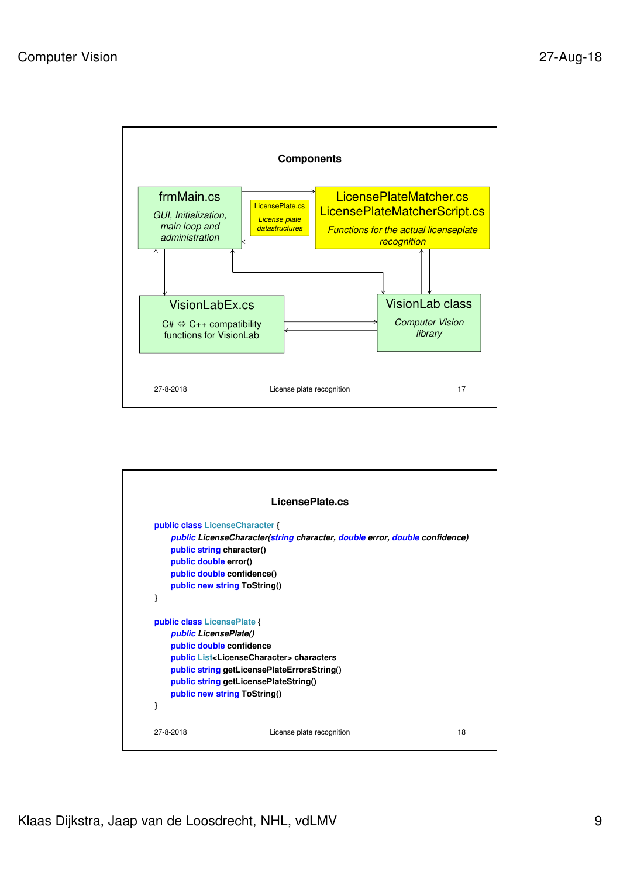

|                                 | LicensePlate.cs                                                              |  |
|---------------------------------|------------------------------------------------------------------------------|--|
| public class LicenseCharacter { |                                                                              |  |
|                                 | public License Character (string character, double error, double confidence) |  |
| public string character()       |                                                                              |  |
| public double error()           |                                                                              |  |
| public double confidence()      |                                                                              |  |
| public new string ToString()    |                                                                              |  |
| ł                               |                                                                              |  |
| public class LicensePlate {     |                                                                              |  |
| public LicensePlate()           |                                                                              |  |
| public double confidence        |                                                                              |  |
|                                 | public List <licensecharacter> characters</licensecharacter>                 |  |
|                                 | public string getLicensePlateErrorsString()                                  |  |
|                                 | public string getLicensePlateString()                                        |  |
| public new string ToString()    |                                                                              |  |
| }                               |                                                                              |  |
|                                 |                                                                              |  |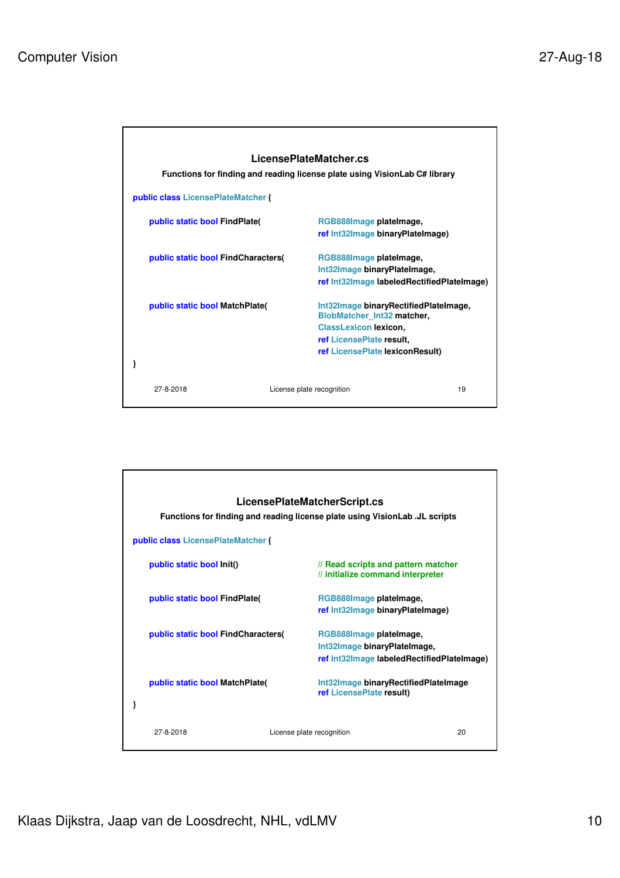

| public class LicensePlateMatcher {   |                           | LicensePlateMatcherScript.cs<br>Functions for finding and reading license plate using VisionLab .JL scripts |    |
|--------------------------------------|---------------------------|-------------------------------------------------------------------------------------------------------------|----|
| public static bool Init()            |                           | // Read scripts and pattern matcher<br>// initialize command interpreter                                    |    |
| <b>public static bool FindPlate(</b> |                           | RGB888Image plateImage,<br>ref Int32Image binaryPlateImage)                                                 |    |
| public static bool FindCharacters(   |                           | RGB888Image platelmage,<br>Int32Image binaryPlateImage,<br>ref Int32Image labeledRectifiedPlateImage)       |    |
| public static bool MatchPlate        |                           | Int32Image binaryRectifiedPlateImage<br>ref LicensePlate result)                                            |    |
| 27-8-2018                            | License plate recognition |                                                                                                             | 20 |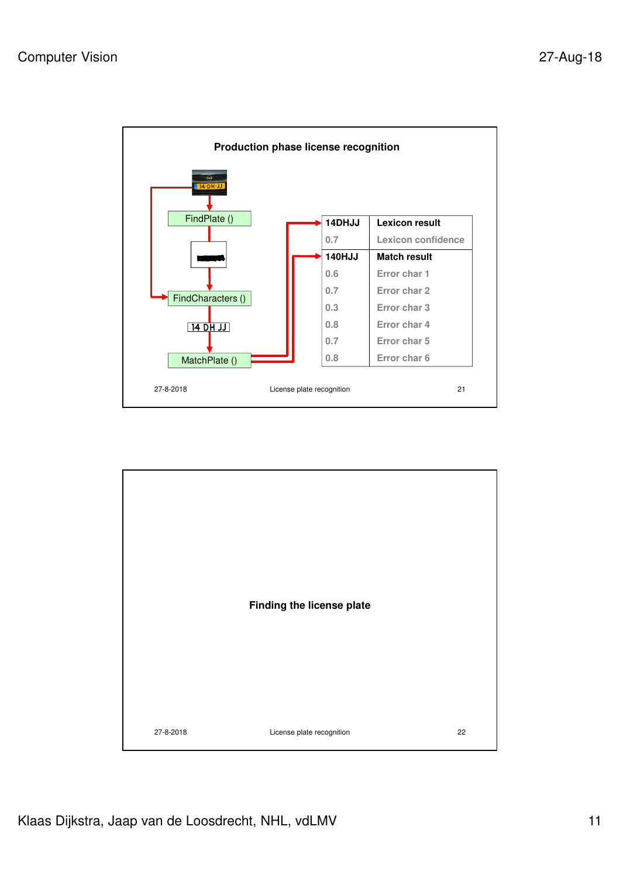

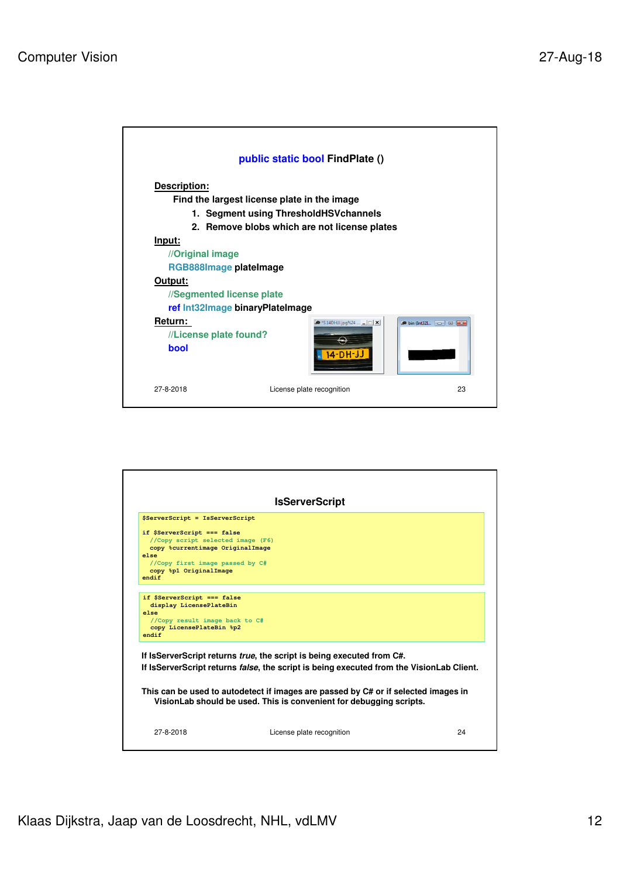

|                                                                                                                                                                                    | <b>IsServerScript</b>                                                                                                                                                                                                                                                                                                                          |  |
|------------------------------------------------------------------------------------------------------------------------------------------------------------------------------------|------------------------------------------------------------------------------------------------------------------------------------------------------------------------------------------------------------------------------------------------------------------------------------------------------------------------------------------------|--|
| \$ServerScript = IsServerScript                                                                                                                                                    |                                                                                                                                                                                                                                                                                                                                                |  |
| if \$ServerScript === false<br>//Copy script selected image (F6)<br>copy %currentimage OriginalImage<br>else<br>//Copy first image passed by C#<br>copy %p1 OriginalImage<br>endif |                                                                                                                                                                                                                                                                                                                                                |  |
| if \$ServerScript === false<br>display LicensePlateBin<br>else<br>//Copy result image back to C#<br>copy LicensePlateBin %p2<br>endif                                              |                                                                                                                                                                                                                                                                                                                                                |  |
|                                                                                                                                                                                    | If IsServerScript returns <i>true</i> , the script is being executed from C#.<br>If IsServerScript returns <i>false</i> , the script is being executed from the VisionLab Client.<br>This can be used to autodetect if images are passed by C# or if selected images in<br>VisionLab should be used. This is convenient for debugging scripts. |  |
|                                                                                                                                                                                    |                                                                                                                                                                                                                                                                                                                                                |  |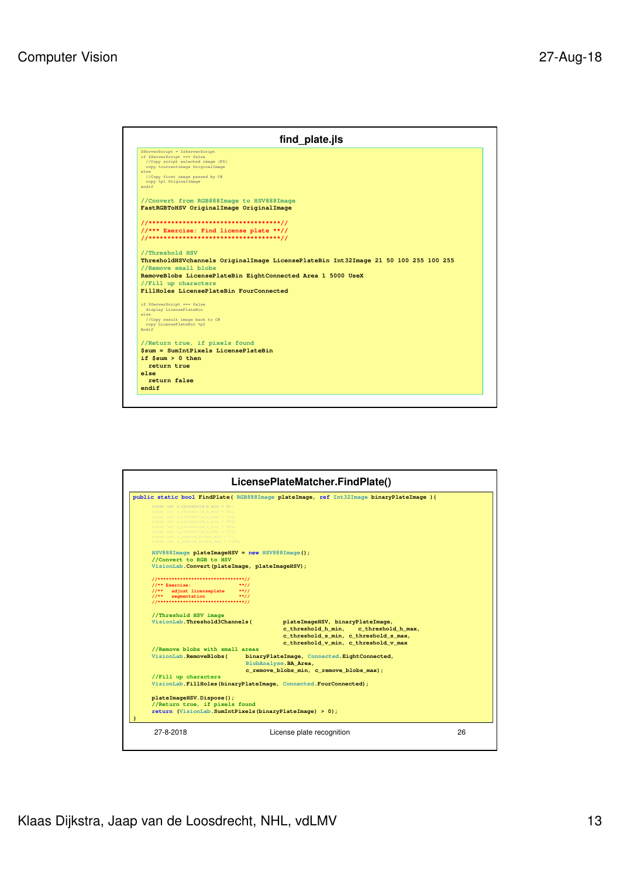

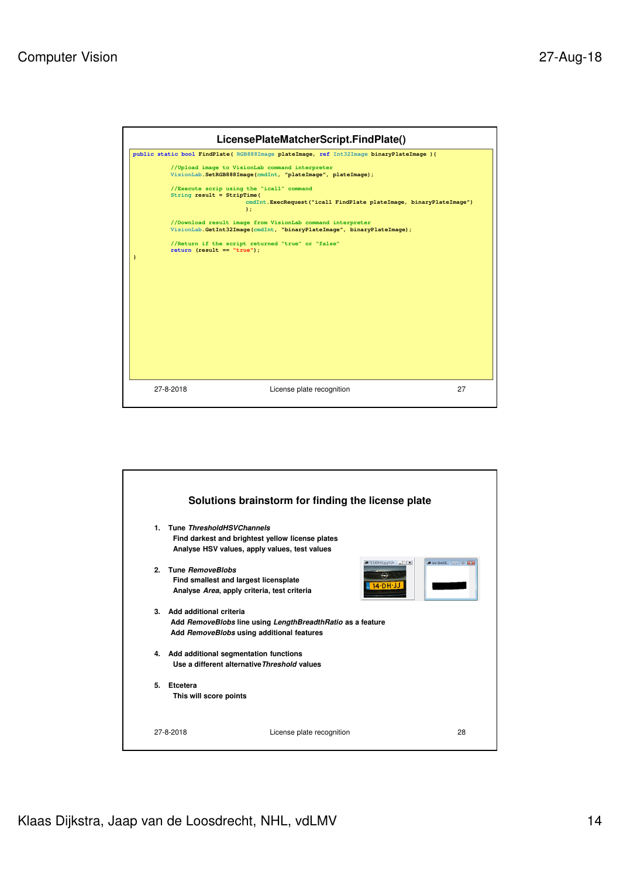

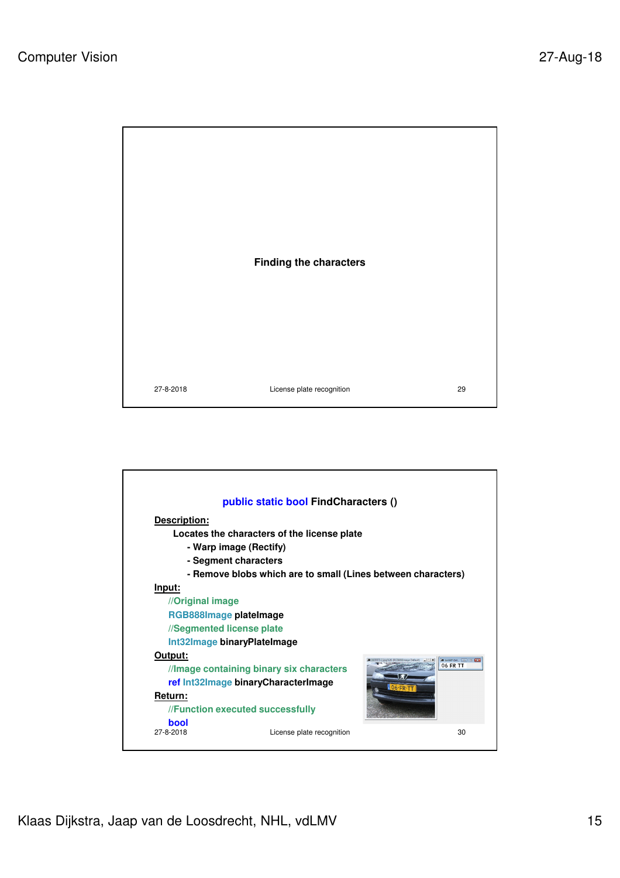

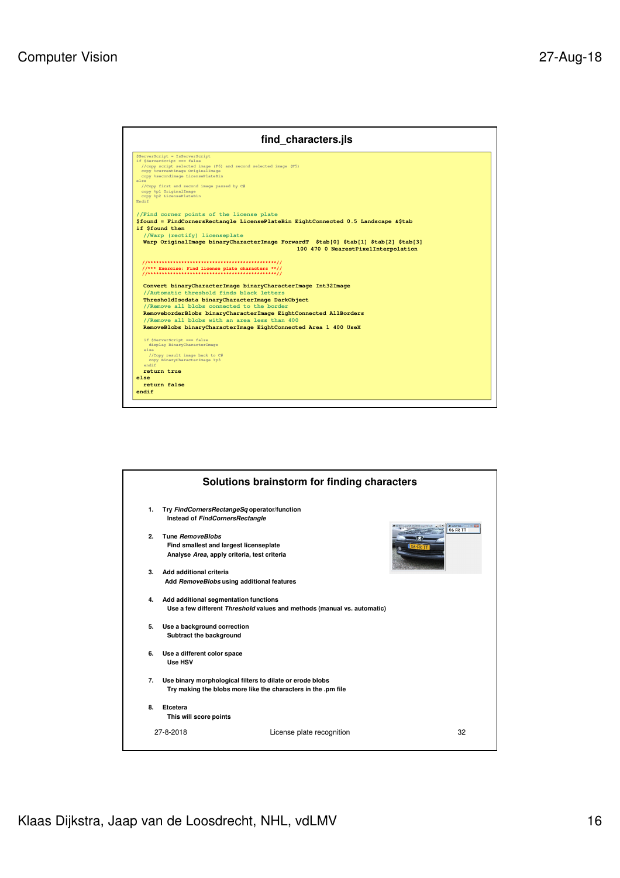

|                |                                             | Solutions brainstorm for finding characters                             |                          |
|----------------|---------------------------------------------|-------------------------------------------------------------------------|--------------------------|
| $\mathbf{1}$ . | Try FindCornersRectangeSq operator/function |                                                                         |                          |
|                | Instead of FindCornersRectangle             |                                                                         | <b>A WAR OLL COLLECT</b> |
| $\mathbf{p}$   | <b>Tune RemoveBlobs</b>                     |                                                                         | <b>06 FR TT</b>          |
|                | Find smallest and largest licenseplate      |                                                                         |                          |
|                | Analyse Area, apply criteria, test criteria |                                                                         |                          |
| З.             | Add additional criteria                     |                                                                         |                          |
|                | Add RemoveBlobs using additional features   |                                                                         |                          |
| 4.             | Add additional segmentation functions       |                                                                         |                          |
|                |                                             | Use a few different Threshold values and methods (manual vs. automatic) |                          |
| 5.             | Use a background correction                 |                                                                         |                          |
|                | Subtract the background                     |                                                                         |                          |
| 6.             | Use a different color space                 |                                                                         |                          |
|                | Use HSV                                     |                                                                         |                          |
| 7.             |                                             | Use binary morphological filters to dilate or erode blobs               |                          |
|                |                                             | Try making the blobs more like the characters in the .pm file           |                          |
| 8.             | Etcetera                                    |                                                                         |                          |
|                | This will score points                      |                                                                         |                          |
|                | 27-8-2018                                   | License plate recognition                                               | 32                       |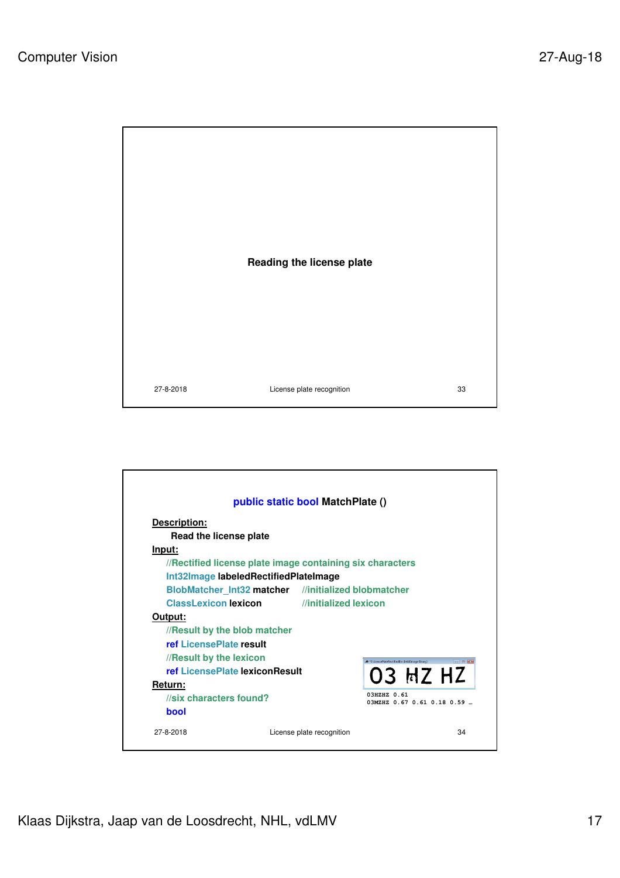

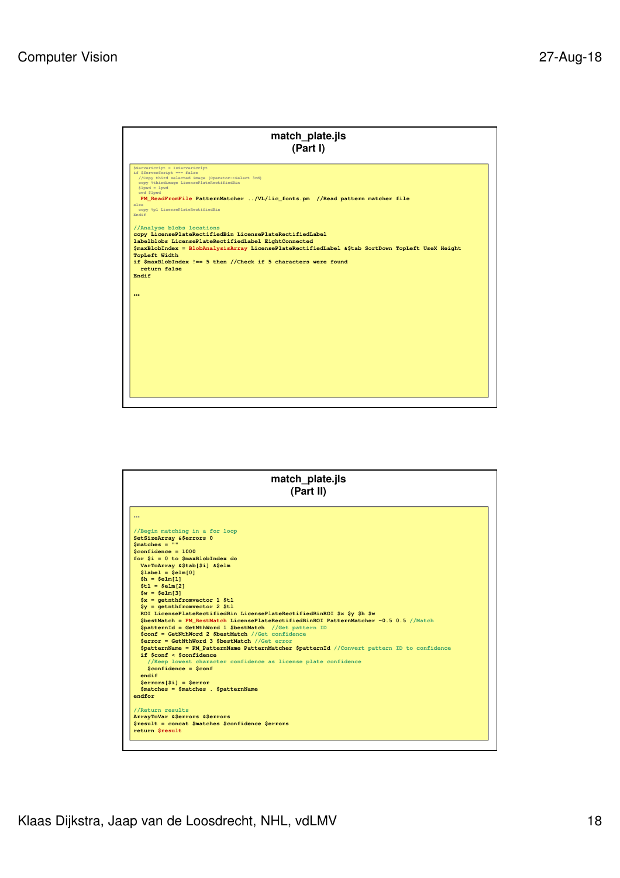

| 1000<br>//Begin matching in a for loop<br>SetSizeArray & \$errors 0<br>$Smatches = ""$<br>$Sconfidence = 1000$<br>for $Si = 0$ to $SmaxBlobIndex$ do<br>VarToArray &\$tab[\$i] &\$elm<br>$$label = $elm[0]$<br>$$h = $elm[1]$<br>$$t1 = $e1m[2]$<br>$Sw = \text{Selm}[3]$<br>$sx = qethth fromvector 1$ \$tl<br>$Sy = qethth fromvector 2 $tl$<br>ROI LicensePlateRectifiedBin LicensePlateRectifiedBinROI \$x \$y \$h \$w<br>\$bestMatch = PM BestMatch LicensePlateRectifiedBinROI PatternMatcher -0.5 0.5 //Match<br>SpatternId = GetNthWord 1 SbestMatch //Get pattern ID<br>Sconf = GetNthWord 2 SbestMatch //Get confidence<br>Serror = GetNthWord 3 SbestMatch //Get error<br>\$patternName = PM PatternName PatternMatcher \$patternId //Convert pattern ID to confidence<br>if Sconf < Sconfidence<br>//Keep lowest character confidence as license plate confidence<br>$Sconfidence = Sconf$<br>endif<br>$$errors[$i] = $error$<br>$$matches = $matches$ . $$patternName$<br>endfor<br>//Return results<br>ArrayToVar &\$errors &\$errors<br>\$result = concat \$matches \$confidence \$errors | match_plate.jls<br>(Part II) |  |
|----------------------------------------------------------------------------------------------------------------------------------------------------------------------------------------------------------------------------------------------------------------------------------------------------------------------------------------------------------------------------------------------------------------------------------------------------------------------------------------------------------------------------------------------------------------------------------------------------------------------------------------------------------------------------------------------------------------------------------------------------------------------------------------------------------------------------------------------------------------------------------------------------------------------------------------------------------------------------------------------------------------------------------------------------------------------------------------------------------|------------------------------|--|
|                                                                                                                                                                                                                                                                                                                                                                                                                                                                                                                                                                                                                                                                                                                                                                                                                                                                                                                                                                                                                                                                                                          |                              |  |
|                                                                                                                                                                                                                                                                                                                                                                                                                                                                                                                                                                                                                                                                                                                                                                                                                                                                                                                                                                                                                                                                                                          |                              |  |
|                                                                                                                                                                                                                                                                                                                                                                                                                                                                                                                                                                                                                                                                                                                                                                                                                                                                                                                                                                                                                                                                                                          |                              |  |
|                                                                                                                                                                                                                                                                                                                                                                                                                                                                                                                                                                                                                                                                                                                                                                                                                                                                                                                                                                                                                                                                                                          |                              |  |
|                                                                                                                                                                                                                                                                                                                                                                                                                                                                                                                                                                                                                                                                                                                                                                                                                                                                                                                                                                                                                                                                                                          |                              |  |
|                                                                                                                                                                                                                                                                                                                                                                                                                                                                                                                                                                                                                                                                                                                                                                                                                                                                                                                                                                                                                                                                                                          |                              |  |
|                                                                                                                                                                                                                                                                                                                                                                                                                                                                                                                                                                                                                                                                                                                                                                                                                                                                                                                                                                                                                                                                                                          |                              |  |
|                                                                                                                                                                                                                                                                                                                                                                                                                                                                                                                                                                                                                                                                                                                                                                                                                                                                                                                                                                                                                                                                                                          |                              |  |
|                                                                                                                                                                                                                                                                                                                                                                                                                                                                                                                                                                                                                                                                                                                                                                                                                                                                                                                                                                                                                                                                                                          |                              |  |
|                                                                                                                                                                                                                                                                                                                                                                                                                                                                                                                                                                                                                                                                                                                                                                                                                                                                                                                                                                                                                                                                                                          |                              |  |
|                                                                                                                                                                                                                                                                                                                                                                                                                                                                                                                                                                                                                                                                                                                                                                                                                                                                                                                                                                                                                                                                                                          |                              |  |
|                                                                                                                                                                                                                                                                                                                                                                                                                                                                                                                                                                                                                                                                                                                                                                                                                                                                                                                                                                                                                                                                                                          |                              |  |
|                                                                                                                                                                                                                                                                                                                                                                                                                                                                                                                                                                                                                                                                                                                                                                                                                                                                                                                                                                                                                                                                                                          |                              |  |
|                                                                                                                                                                                                                                                                                                                                                                                                                                                                                                                                                                                                                                                                                                                                                                                                                                                                                                                                                                                                                                                                                                          |                              |  |
|                                                                                                                                                                                                                                                                                                                                                                                                                                                                                                                                                                                                                                                                                                                                                                                                                                                                                                                                                                                                                                                                                                          |                              |  |
|                                                                                                                                                                                                                                                                                                                                                                                                                                                                                                                                                                                                                                                                                                                                                                                                                                                                                                                                                                                                                                                                                                          |                              |  |
|                                                                                                                                                                                                                                                                                                                                                                                                                                                                                                                                                                                                                                                                                                                                                                                                                                                                                                                                                                                                                                                                                                          |                              |  |
|                                                                                                                                                                                                                                                                                                                                                                                                                                                                                                                                                                                                                                                                                                                                                                                                                                                                                                                                                                                                                                                                                                          |                              |  |
|                                                                                                                                                                                                                                                                                                                                                                                                                                                                                                                                                                                                                                                                                                                                                                                                                                                                                                                                                                                                                                                                                                          |                              |  |
|                                                                                                                                                                                                                                                                                                                                                                                                                                                                                                                                                                                                                                                                                                                                                                                                                                                                                                                                                                                                                                                                                                          |                              |  |
|                                                                                                                                                                                                                                                                                                                                                                                                                                                                                                                                                                                                                                                                                                                                                                                                                                                                                                                                                                                                                                                                                                          |                              |  |
|                                                                                                                                                                                                                                                                                                                                                                                                                                                                                                                                                                                                                                                                                                                                                                                                                                                                                                                                                                                                                                                                                                          |                              |  |
|                                                                                                                                                                                                                                                                                                                                                                                                                                                                                                                                                                                                                                                                                                                                                                                                                                                                                                                                                                                                                                                                                                          |                              |  |
|                                                                                                                                                                                                                                                                                                                                                                                                                                                                                                                                                                                                                                                                                                                                                                                                                                                                                                                                                                                                                                                                                                          |                              |  |
|                                                                                                                                                                                                                                                                                                                                                                                                                                                                                                                                                                                                                                                                                                                                                                                                                                                                                                                                                                                                                                                                                                          |                              |  |
|                                                                                                                                                                                                                                                                                                                                                                                                                                                                                                                                                                                                                                                                                                                                                                                                                                                                                                                                                                                                                                                                                                          |                              |  |
|                                                                                                                                                                                                                                                                                                                                                                                                                                                                                                                                                                                                                                                                                                                                                                                                                                                                                                                                                                                                                                                                                                          |                              |  |
|                                                                                                                                                                                                                                                                                                                                                                                                                                                                                                                                                                                                                                                                                                                                                                                                                                                                                                                                                                                                                                                                                                          |                              |  |
|                                                                                                                                                                                                                                                                                                                                                                                                                                                                                                                                                                                                                                                                                                                                                                                                                                                                                                                                                                                                                                                                                                          | return Sresult               |  |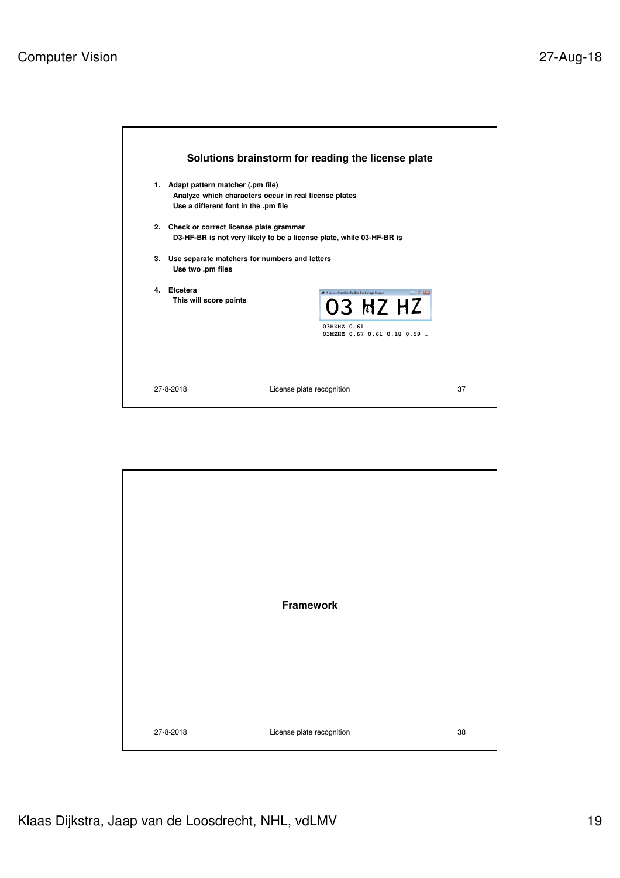

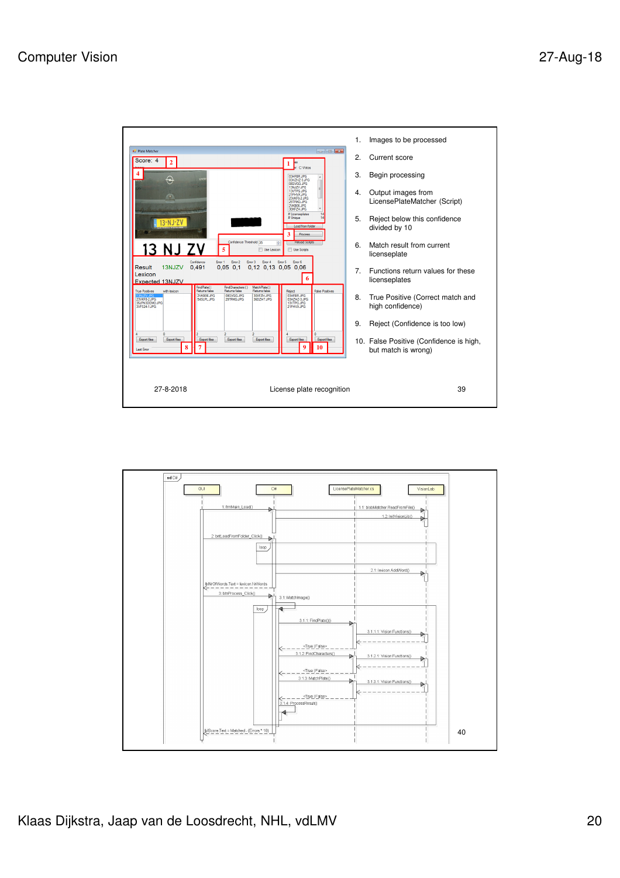

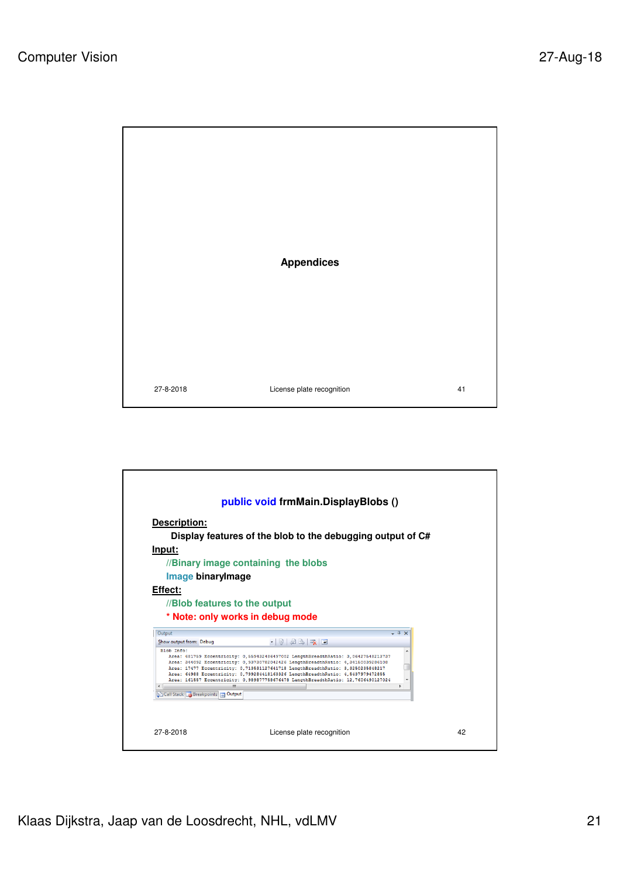

27-8-2018 License plate recognition 41

**public void frmMain.DisplayBlobs () Description: Display features of the blob to the debugging output of C# Input: //Binary image containing the blobs Image binaryImage Effect: //Blob features to the output \* Note: only works in debug mode**Output  $\overline{\phantom{a}}$  +  $\overline{\phantom{a}}$  x  $\cdot$  |  $\parallel$  |  $\parallel$  B |  $\parallel$  |  $\parallel$ Show output from: Debug  $\blacktriangle$ Ū  $\overline{a}$ Call Stack **&** Breakpoints **B** Output 27-8-2018 License plate recognition 42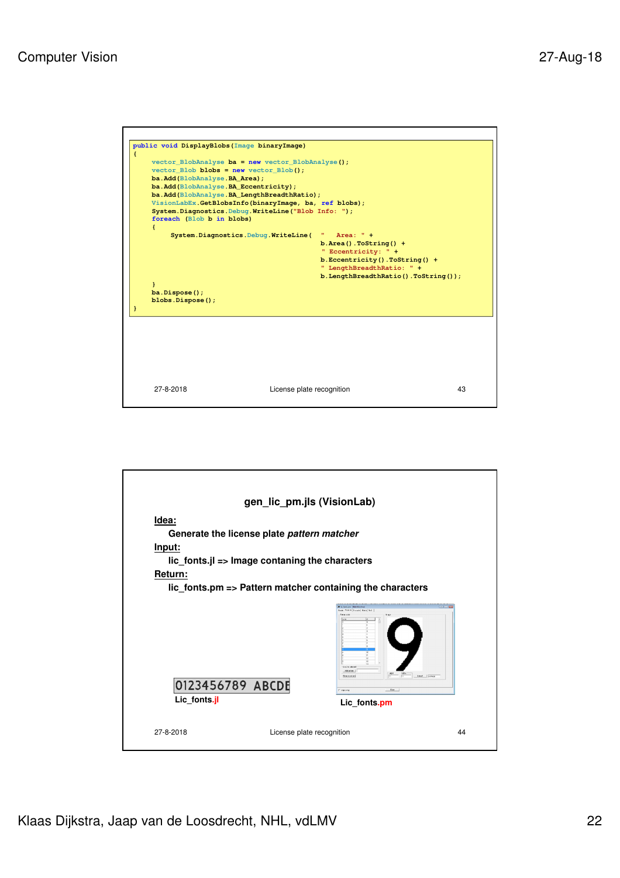

| gen_lic_pm.jls (VisionLab)       |                                                                                                                                                                                                           |  |
|----------------------------------|-----------------------------------------------------------------------------------------------------------------------------------------------------------------------------------------------------------|--|
| Idea:<br>Input:<br>Return:       | Generate the license plate pattern matcher<br>$lic$ fonts.jl => Image contaning the characters<br>lic_fonts.pm => Pattern matcher containing the characters                                               |  |
| 0123456789 ABCDE<br>Lic fonts.jl | <b>Colorado Statistico</b><br>Gene Polem [Events] Mack] Fed. ]<br><b>Detection</b><br><b>View</b><br>Volvement<br>Attorney II<br>Water.<br>tout   prace<br>Box a stan<br>Chat  <br>Памени<br>Lic_fonts.pm |  |
| 27-8-2018                        | License plate recognition<br>44                                                                                                                                                                           |  |